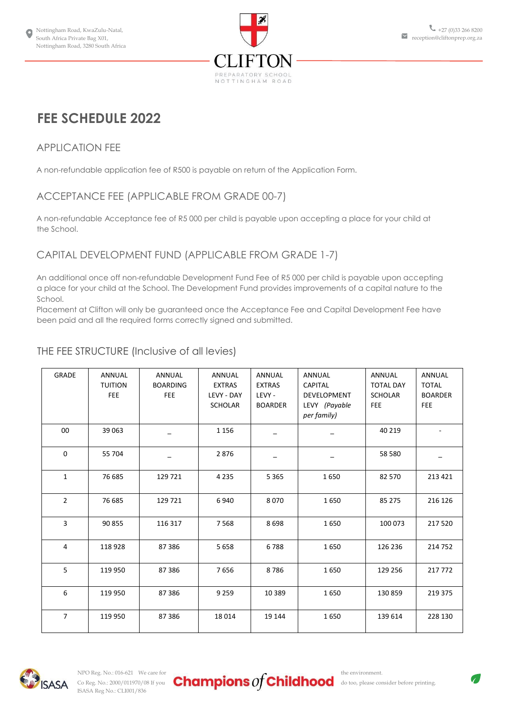

# **FEE SCHEDULE 2022**

# APPLICATION FEE

A non-refundable application fee of R500 is payable on return of the Application Form.

# ACCEPTANCE FEE (APPLICABLE FROM GRADE 00-7)

A non-refundable Acceptance fee of R5 000 per child is payable upon accepting a place for your child at the School.

# CAPITAL DEVELOPMENT FUND (APPLICABLE FROM GRADE 1-7)

An additional once off non-refundable Development Fund Fee of R5 000 per child is payable upon accepting a place for your child at the School. The Development Fund provides improvements of a capital nature to the School.

Placement at Clifton will only be guaranteed once the Acceptance Fee and Capital Development Fee have been paid and all the required forms correctly signed and submitted.

| GRADE          | <b>ANNUAL</b><br><b>TUITION</b><br><b>FEE</b> | <b>ANNUAL</b><br><b>BOARDING</b><br><b>FEE</b> | ANNUAL<br><b>EXTRAS</b><br>LEVY - DAY<br><b>SCHOLAR</b> | ANNUAL<br><b>EXTRAS</b><br>LEVY -<br><b>BOARDER</b> | <b>ANNUAL</b><br><b>CAPITAL</b><br>DEVELOPMENT<br>LEVY (Payable<br>per family) | ANNUAL<br><b>TOTAL DAY</b><br><b>SCHOLAR</b><br>FEE | <b>ANNUAL</b><br><b>TOTAL</b><br><b>BOARDER</b><br>FEE |
|----------------|-----------------------------------------------|------------------------------------------------|---------------------------------------------------------|-----------------------------------------------------|--------------------------------------------------------------------------------|-----------------------------------------------------|--------------------------------------------------------|
| 00             | 39 063                                        |                                                | 1 1 5 6                                                 |                                                     |                                                                                | 40 219                                              |                                                        |
| $\mathbf 0$    | 55 704                                        |                                                | 2876                                                    |                                                     |                                                                                | 58 580                                              |                                                        |
| $\mathbf{1}$   | 76 685                                        | 129 721                                        | 4 2 3 5                                                 | 5 3 6 5                                             | 1650                                                                           | 82 570                                              | 213 421                                                |
| $\overline{2}$ | 76 685                                        | 129 721                                        | 6940                                                    | 8070                                                | 1650                                                                           | 85 275                                              | 216 126                                                |
| 3              | 90 855                                        | 116 317                                        | 7568                                                    | 8698                                                | 1650                                                                           | 100 073                                             | 217 520                                                |
| 4              | 118928                                        | 87 386                                         | 5 6 5 8                                                 | 6788                                                | 1650                                                                           | 126 236                                             | 214 752                                                |
| 5              | 119 950                                       | 87 386                                         | 7656                                                    | 8786                                                | 1650                                                                           | 129 256                                             | 217 772                                                |
| 6              | 119 950                                       | 87 386                                         | 9 2 5 9                                                 | 10 3 8 9                                            | 1650                                                                           | 130 859                                             | 219 375                                                |
| $\overline{7}$ | 119 950                                       | 87 386                                         | 18014                                                   | 19 144                                              | 1650                                                                           | 139 614                                             | 228 130                                                |

# THE FEE STRUCTURE (Inclusive of all levies)

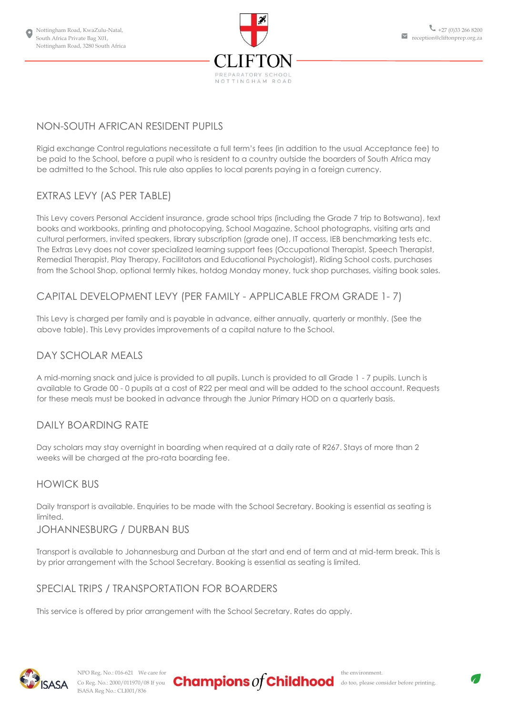

# NON-SOUTH AFRICAN RESIDENT PUPILS

Rigid exchange Control regulations necessitate a full term's fees (in addition to the usual Acceptance fee) to be paid to the School, before a pupil who is resident to a country outside the boarders of South Africa may be admitted to the School. This rule also applies to local parents paying in a foreign currency.

# EXTRAS LEVY (AS PER TABLE)

This Levy covers Personal Accident insurance, grade school trips (including the Grade 7 trip to Botswana), text books and workbooks, printing and photocopying, School Magazine, School photographs, visiting arts and cultural performers, invited speakers, library subscription (grade one), IT access, IEB benchmarking tests etc. The Extras Levy does not cover specialized learning support fees (Occupational Therapist, Speech Therapist, Remedial Therapist, Play Therapy, Facilitators and Educational Psychologist), Riding School costs, purchases from the School Shop, optional termly hikes, hotdog Monday money, tuck shop purchases, visiting book sales.

## CAPITAL DEVELOPMENT LEVY (PER FAMILY - APPLICABLE FROM GRADE 1- 7)

This Levy is charged per family and is payable in advance, either annually, quarterly or monthly. (See the above table). This Levy provides improvements of a capital nature to the School.

#### DAY SCHOLAR MEALS

A mid-morning snack and juice is provided to all pupils. Lunch is provided to all Grade 1 - 7 pupils. Lunch is available to Grade 00 - 0 pupils at a cost of R22 per meal and will be added to the school account. Requests for these meals must be booked in advance through the Junior Primary HOD on a quarterly basis.

#### DAILY BOARDING RATE

Day scholars may stay overnight in boarding when required at a daily rate of R267. Stays of more than 2 weeks will be charged at the pro-rata boarding fee.

#### HOWICK BUS

Daily transport is available. Enquiries to be made with the School Secretary. Booking is essential as seating is limited.

#### JOHANNESBURG / DURBAN BUS

Transport is available to Johannesburg and Durban at the start and end of term and at mid-term break. This is by prior arrangement with the School Secretary. Booking is essential as seating is limited.

#### SPECIAL TRIPS / TRANSPORTATION FOR BOARDERS

This service is offered by prior arrangement with the School Secretary. Rates do apply.